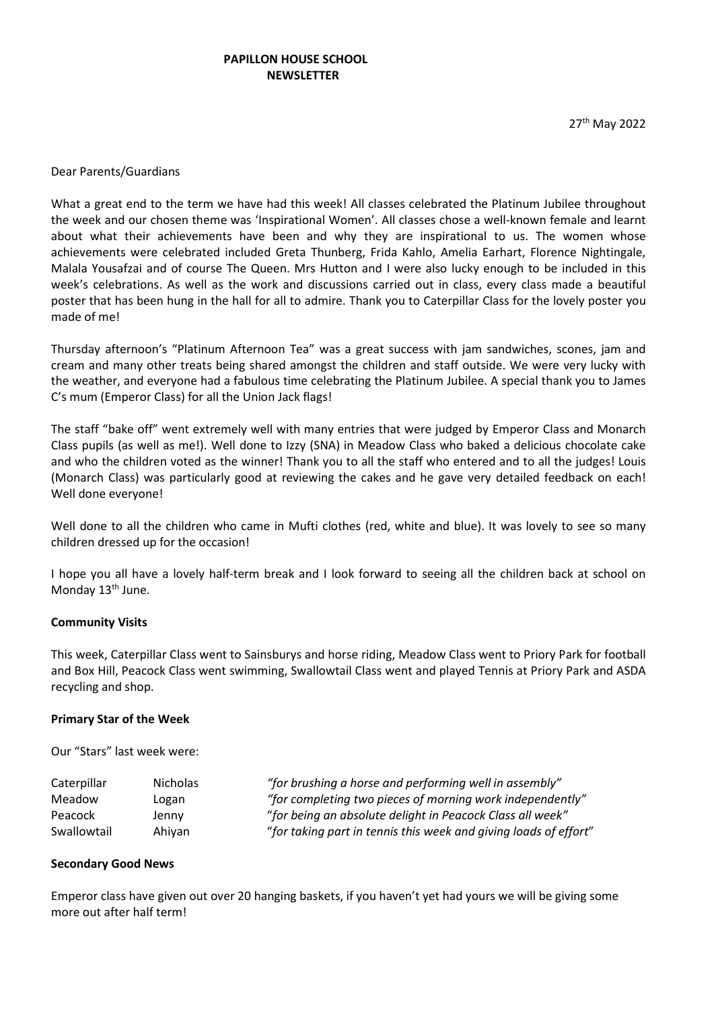# PAPILLON HOUSE SCHOOL **NEWSLETTER**

27th May 2022

#### Dear Parents/Guardians

What a great end to the term we have had this week! All classes celebrated the Platinum Jubilee throughout the week and our chosen theme was 'Inspirational Women'. All classes chose a well-known female and learnt about what their achievements have been and why they are inspirational to us. The women whose achievements were celebrated included Greta Thunberg, Frida Kahlo, Amelia Earhart, Florence Nightingale, Malala Yousafzai and of course The Queen. Mrs Hutton and I were also lucky enough to be included in this week's celebrations. As well as the work and discussions carried out in class, every class made a beautiful poster that has been hung in the hall for all to admire. Thank you to Caterpillar Class for the lovely poster you made of me!

Thursday afternoon's "Platinum Afternoon Tea" was a great success with jam sandwiches, scones, jam and cream and many other treats being shared amongst the children and staff outside. We were very lucky with the weather, and everyone had a fabulous time celebrating the Platinum Jubilee. A special thank you to James C's mum (Emperor Class) for all the Union Jack flags!

The staff "bake off" went extremely well with many entries that were judged by Emperor Class and Monarch Class pupils (as well as me!). Well done to Izzy (SNA) in Meadow Class who baked a delicious chocolate cake and who the children voted as the winner! Thank you to all the staff who entered and to all the judges! Louis (Monarch Class) was particularly good at reviewing the cakes and he gave very detailed feedback on each! Well done everyone!

Well done to all the children who came in Mufti clothes (red, white and blue). It was lovely to see so many children dressed up for the occasion!

I hope you all have a lovely half-term break and I look forward to seeing all the children back at school on Monday 13<sup>th</sup> June.

#### Community Visits

This week, Caterpillar Class went to Sainsburys and horse riding, Meadow Class went to Priory Park for football and Box Hill, Peacock Class went swimming, Swallowtail Class went and played Tennis at Priory Park and ASDA recycling and shop.

#### Primary Star of the Week

Our "Stars" last week were:

| Caterpillar | <b>Nicholas</b> | "for brushing a horse and performing well in assembly"           |
|-------------|-----------------|------------------------------------------------------------------|
| Meadow      | Logan           | "for completing two pieces of morning work independently"        |
| Peacock     | Jenny           | "for being an absolute delight in Peacock Class all week"        |
| Swallowtail | Ahiyan          | "for taking part in tennis this week and giving loads of effort" |

#### Secondary Good News

Emperor class have given out over 20 hanging baskets, if you haven't yet had yours we will be giving some more out after half term!